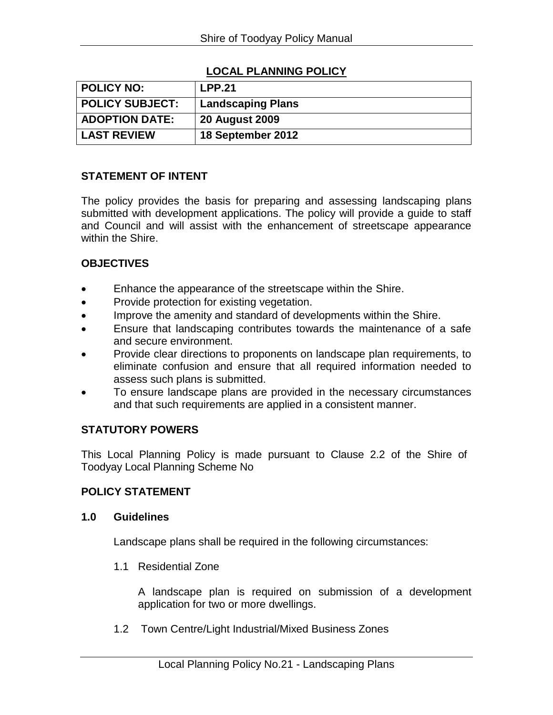# **LOCAL PLANNING POLICY**

| POLICY NO:            | <b>LPP.21</b>            |
|-----------------------|--------------------------|
| POLICY SUBJECT:       | <b>Landscaping Plans</b> |
| <b>ADOPTION DATE:</b> | <b>20 August 2009</b>    |
| <b>LAST REVIEW</b>    | 18 September 2012        |

## **STATEMENT OF INTENT**

The policy provides the basis for preparing and assessing landscaping plans submitted with development applications. The policy will provide a guide to staff and Council and will assist with the enhancement of streetscape appearance within the Shire.

#### **OBJECTIVES**

- Enhance the appearance of the streetscape within the Shire.
- Provide protection for existing vegetation.
- Improve the amenity and standard of developments within the Shire.
- Ensure that landscaping contributes towards the maintenance of a safe and secure environment.
- Provide clear directions to proponents on landscape plan requirements, to eliminate confusion and ensure that all required information needed to assess such plans is submitted.
- To ensure landscape plans are provided in the necessary circumstances and that such requirements are applied in a consistent manner.

## **STATUTORY POWERS**

This Local Planning Policy is made pursuant to Clause 2.2 of the Shire of Toodyay Local Planning Scheme No

## **POLICY STATEMENT**

#### **1.0 Guidelines**

Landscape plans shall be required in the following circumstances:

1.1 Residential Zone

A landscape plan is required on submission of a development application for two or more dwellings.

1.2 Town Centre/Light Industrial/Mixed Business Zones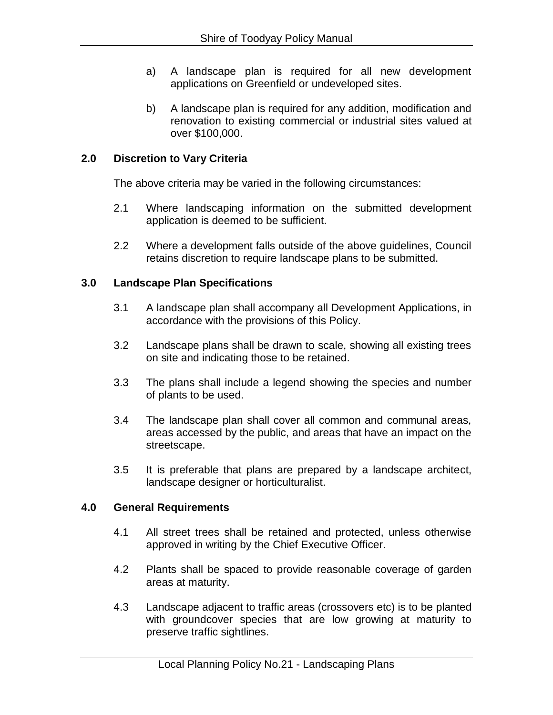- a) A landscape plan is required for all new development applications on Greenfield or undeveloped sites.
- b) A landscape plan is required for any addition, modification and renovation to existing commercial or industrial sites valued at over \$100,000.

## **2.0 Discretion to Vary Criteria**

The above criteria may be varied in the following circumstances:

- 2.1 Where landscaping information on the submitted development application is deemed to be sufficient.
- 2.2 Where a development falls outside of the above guidelines, Council retains discretion to require landscape plans to be submitted.

#### **3.0 Landscape Plan Specifications**

- 3.1 A landscape plan shall accompany all Development Applications, in accordance with the provisions of this Policy.
- 3.2 Landscape plans shall be drawn to scale, showing all existing trees on site and indicating those to be retained.
- 3.3 The plans shall include a legend showing the species and number of plants to be used.
- 3.4 The landscape plan shall cover all common and communal areas, areas accessed by the public, and areas that have an impact on the streetscape.
- 3.5 It is preferable that plans are prepared by a landscape architect, landscape designer or horticulturalist.

#### **4.0 General Requirements**

- 4.1 All street trees shall be retained and protected, unless otherwise approved in writing by the Chief Executive Officer.
- 4.2 Plants shall be spaced to provide reasonable coverage of garden areas at maturity.
- 4.3 Landscape adjacent to traffic areas (crossovers etc) is to be planted with groundcover species that are low growing at maturity to preserve traffic sightlines.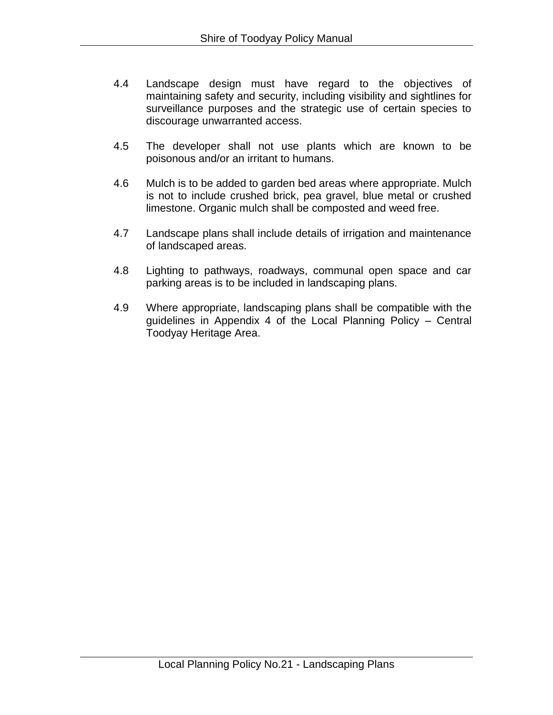- 4.4 Landscape design must have regard to the objectives of maintaining safety and security, including visibility and sightlines for surveillance purposes and the strategic use of certain species to discourage unwarranted access.
- 4.5 The developer shall not use plants which are known to be poisonous and/or an irritant to humans.
- 4.6 Mulch is to be added to garden bed areas where appropriate. Mulch is not to include crushed brick, pea gravel, blue metal or crushed limestone. Organic mulch shall be composted and weed free.
- 4.7 Landscape plans shall include details of irrigation and maintenance of landscaped areas.
- 4.8 Lighting to pathways, roadways, communal open space and car parking areas is to be included in landscaping plans.
- 4.9 Where appropriate, landscaping plans shall be compatible with the guidelines in Appendix 4 of the Local Planning Policy – Central Toodyay Heritage Area.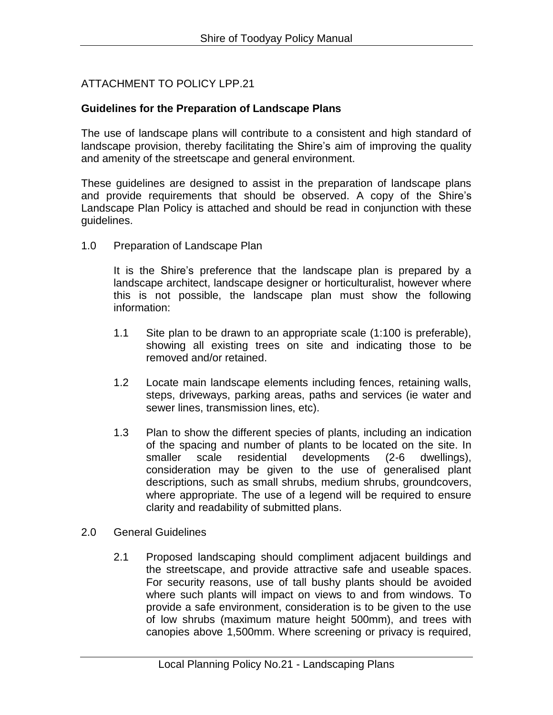# ATTACHMENT TO POLICY LPP.21

#### **Guidelines for the Preparation of Landscape Plans**

The use of landscape plans will contribute to a consistent and high standard of landscape provision, thereby facilitating the Shire's aim of improving the quality and amenity of the streetscape and general environment.

These guidelines are designed to assist in the preparation of landscape plans and provide requirements that should be observed. A copy of the Shire's Landscape Plan Policy is attached and should be read in conjunction with these guidelines.

1.0 Preparation of Landscape Plan

It is the Shire's preference that the landscape plan is prepared by a landscape architect, landscape designer or horticulturalist, however where this is not possible, the landscape plan must show the following information:

- 1.1 Site plan to be drawn to an appropriate scale (1:100 is preferable), showing all existing trees on site and indicating those to be removed and/or retained.
- 1.2 Locate main landscape elements including fences, retaining walls, steps, driveways, parking areas, paths and services (ie water and sewer lines, transmission lines, etc).
- 1.3 Plan to show the different species of plants, including an indication of the spacing and number of plants to be located on the site. In smaller scale residential developments (2-6 dwellings), consideration may be given to the use of generalised plant descriptions, such as small shrubs, medium shrubs, groundcovers, where appropriate. The use of a legend will be required to ensure clarity and readability of submitted plans.
- 2.0 General Guidelines
	- 2.1 Proposed landscaping should compliment adjacent buildings and the streetscape, and provide attractive safe and useable spaces. For security reasons, use of tall bushy plants should be avoided where such plants will impact on views to and from windows. To provide a safe environment, consideration is to be given to the use of low shrubs (maximum mature height 500mm), and trees with canopies above 1,500mm. Where screening or privacy is required,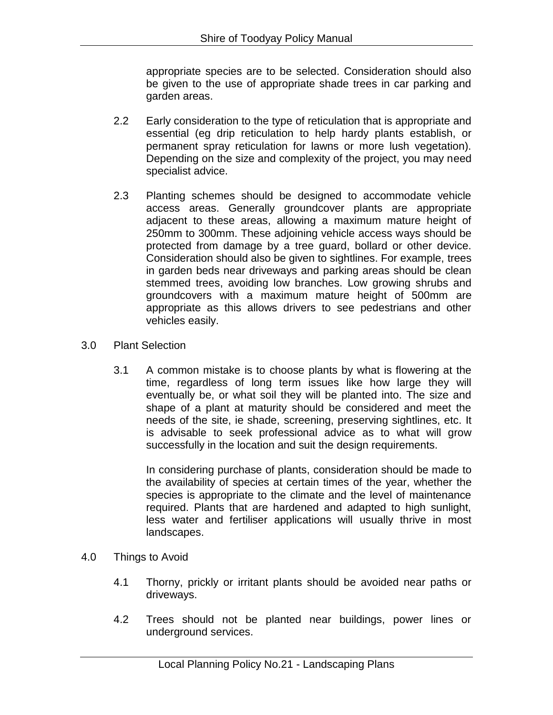appropriate species are to be selected. Consideration should also be given to the use of appropriate shade trees in car parking and garden areas.

- 2.2 Early consideration to the type of reticulation that is appropriate and essential (eg drip reticulation to help hardy plants establish, or permanent spray reticulation for lawns or more lush vegetation). Depending on the size and complexity of the project, you may need specialist advice.
- 2.3 Planting schemes should be designed to accommodate vehicle access areas. Generally groundcover plants are appropriate adjacent to these areas, allowing a maximum mature height of 250mm to 300mm. These adjoining vehicle access ways should be protected from damage by a tree guard, bollard or other device. Consideration should also be given to sightlines. For example, trees in garden beds near driveways and parking areas should be clean stemmed trees, avoiding low branches. Low growing shrubs and groundcovers with a maximum mature height of 500mm are appropriate as this allows drivers to see pedestrians and other vehicles easily.
- 3.0 Plant Selection
	- 3.1 A common mistake is to choose plants by what is flowering at the time, regardless of long term issues like how large they will eventually be, or what soil they will be planted into. The size and shape of a plant at maturity should be considered and meet the needs of the site, ie shade, screening, preserving sightlines, etc. It is advisable to seek professional advice as to what will grow successfully in the location and suit the design requirements.

In considering purchase of plants, consideration should be made to the availability of species at certain times of the year, whether the species is appropriate to the climate and the level of maintenance required. Plants that are hardened and adapted to high sunlight, less water and fertiliser applications will usually thrive in most landscapes.

- 4.0 Things to Avoid
	- 4.1 Thorny, prickly or irritant plants should be avoided near paths or driveways.
	- 4.2 Trees should not be planted near buildings, power lines or underground services.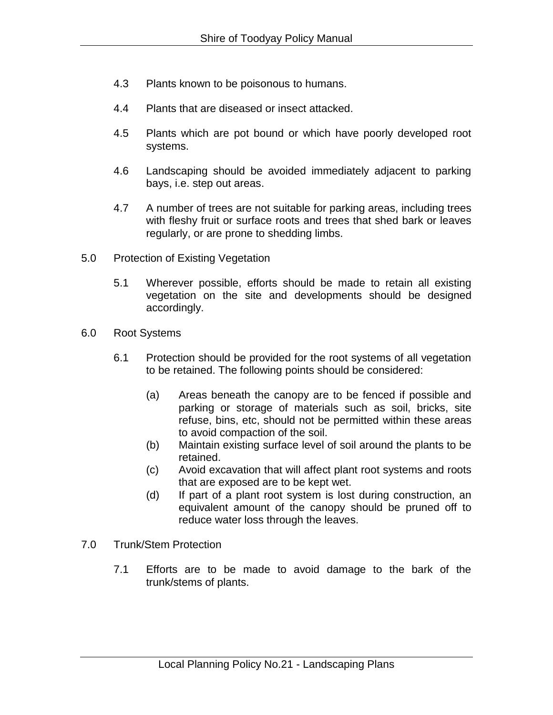- 4.3 Plants known to be poisonous to humans.
- 4.4 Plants that are diseased or insect attacked.
- 4.5 Plants which are pot bound or which have poorly developed root systems.
- 4.6 Landscaping should be avoided immediately adjacent to parking bays, i.e. step out areas.
- 4.7 A number of trees are not suitable for parking areas, including trees with fleshy fruit or surface roots and trees that shed bark or leaves regularly, or are prone to shedding limbs.
- 5.0 Protection of Existing Vegetation
	- 5.1 Wherever possible, efforts should be made to retain all existing vegetation on the site and developments should be designed accordingly.
- 6.0 Root Systems
	- 6.1 Protection should be provided for the root systems of all vegetation to be retained. The following points should be considered:
		- (a) Areas beneath the canopy are to be fenced if possible and parking or storage of materials such as soil, bricks, site refuse, bins, etc, should not be permitted within these areas to avoid compaction of the soil.
		- (b) Maintain existing surface level of soil around the plants to be retained.
		- (c) Avoid excavation that will affect plant root systems and roots that are exposed are to be kept wet.
		- (d) If part of a plant root system is lost during construction, an equivalent amount of the canopy should be pruned off to reduce water loss through the leaves.
- 7.0 Trunk/Stem Protection
	- 7.1 Efforts are to be made to avoid damage to the bark of the trunk/stems of plants.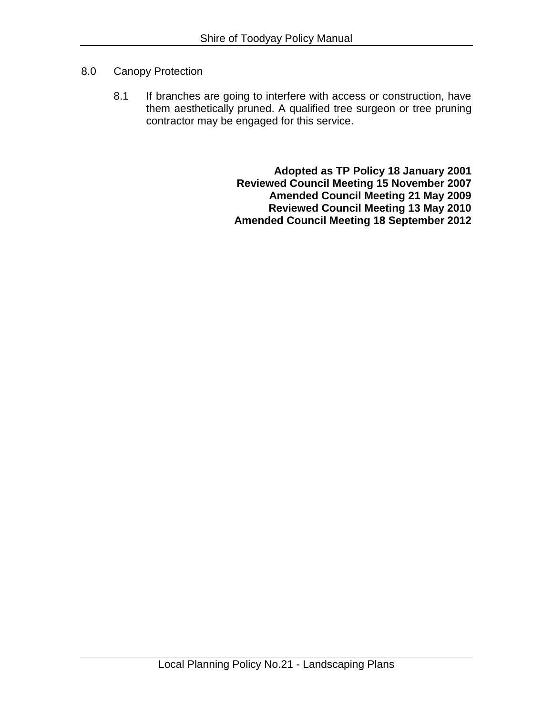## 8.0 Canopy Protection

8.1 If branches are going to interfere with access or construction, have them aesthetically pruned. A qualified tree surgeon or tree pruning contractor may be engaged for this service.

> **Adopted as TP Policy 18 January 2001 Reviewed Council Meeting 15 November 2007 Amended Council Meeting 21 May 2009 Reviewed Council Meeting 13 May 2010 Amended Council Meeting 18 September 2012**